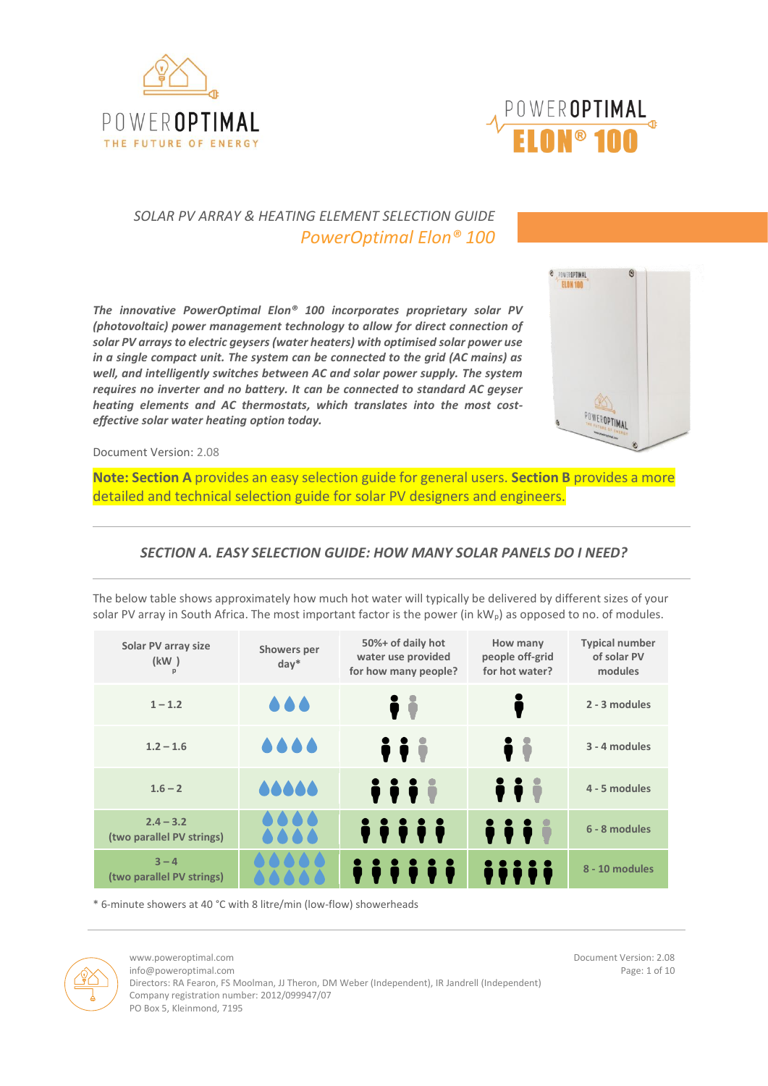



# *SOLAR PV ARRAY & HEATING ELEMENT SELECTION GUIDE PowerOptimal Elon® 100*

*The innovative PowerOptimal Elon® 100 incorporates proprietary solar PV (photovoltaic) power management technology to allow for direct connection of solar PV arrays to electric geysers (water heaters) with optimised solar power use in a single compact unit. The system can be connected to the grid (AC mains) as well, and intelligently switches between AC and solar power supply. The system requires no inverter and no battery. It can be connected to standard AC geyser heating elements and AC thermostats, which translates into the most costeffective solar water heating option today.*



Document Version: 2.08

**Note: Section A** provides an easy selection guide for general users. **Section B** provides a more detailed and technical selection guide for solar PV designers and engineers.

## *SECTION A. EASY SELECTION GUIDE: HOW MANY SOLAR PANELS DO I NEED?*

The below table shows approximately how much hot water will typically be delivered by different sizes of your solar PV array in South Africa. The most important factor is the power (in kW<sub>p</sub>) as opposed to no. of modules.

| Solar PV array size<br>(kW)              | Showers per<br>$day^*$ | 50%+ of daily hot<br>water use provided<br>for how many people? | How many<br>people off-grid<br>for hot water?      | <b>Typical number</b><br>of solar PV<br>modules |
|------------------------------------------|------------------------|-----------------------------------------------------------------|----------------------------------------------------|-------------------------------------------------|
| $1 - 1.2$                                |                        | $\ddot{\bullet}$                                                |                                                    | 2 - 3 modules                                   |
| $1.2 - 1.6$                              |                        | iii                                                             | Ìİ                                                 | 3 - 4 modules                                   |
| $1.6 - 2$                                | 00000                  | <b>iii</b>                                                      | $\ddot{\ }$                                        | 4 - 5 modules                                   |
| $2.4 - 3.2$<br>(two parallel PV strings) |                        | <i>iiiii</i>                                                    | $\ddot{\bullet}$ $\ddot{\bullet}$ $\ddot{\bullet}$ | 6 - 8 modules                                   |
| $3 - 4$<br>(two parallel PV strings)     |                        |                                                                 |                                                    | 8 - 10 modules                                  |

\* 6-minute showers at 40 °C with 8 litre/min (low-flow) showerheads



info@poweroptimal.com Page: 1 of 10

www.poweroptimal.com **Document Version: 2.08** 

Directors: RA Fearon, FS Moolman, JJ Theron, DM Weber (Independent), IR Jandrell (Independent) Company registration number: 2012/099947/07 PO Box 5, Kleinmond, 7195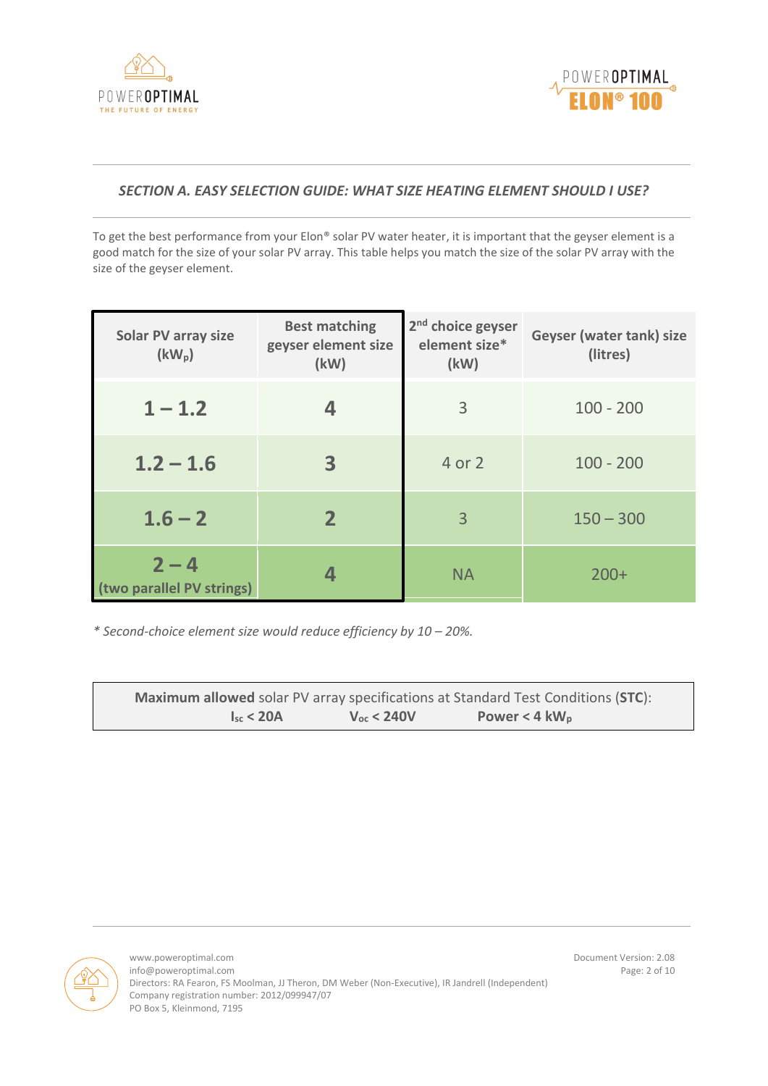



## *SECTION A. EASY SELECTION GUIDE: WHAT SIZE HEATING ELEMENT SHOULD I USE?*

To get the best performance from your Elon® solar PV water heater, it is important that the geyser element is a good match for the size of your solar PV array. This table helps you match the size of the solar PV array with the size of the geyser element.

| <b>Solar PV array size</b><br>$(kW_p)$ | <b>Best matching</b><br>geyser element size<br>(kW) | 2 <sup>nd</sup> choice geyser<br>element size*<br>(kW) | Geyser (water tank) size<br>(litres) |
|----------------------------------------|-----------------------------------------------------|--------------------------------------------------------|--------------------------------------|
| $1 - 1.2$                              |                                                     | 3                                                      | $100 - 200$                          |
| $1.2 - 1.6$                            | 3                                                   | 4 or 2                                                 | $100 - 200$                          |
| $1.6 - 2$                              | $\mathbf{2}$                                        | 3                                                      | $150 - 300$                          |
| $2 - 4$<br>(two parallel PV strings)   |                                                     | <b>NA</b>                                              | $200+$                               |

*\* Second-choice element size would reduce efficiency by 10 – 20%.*

|                |                 | <b>Maximum allowed</b> solar PV array specifications at Standard Test Conditions (STC): |  |
|----------------|-----------------|-----------------------------------------------------------------------------------------|--|
| $I_{sr}$ < 20A | $V_{oc}$ < 240V | Power < $4 \text{ kW}_{p}$                                                              |  |

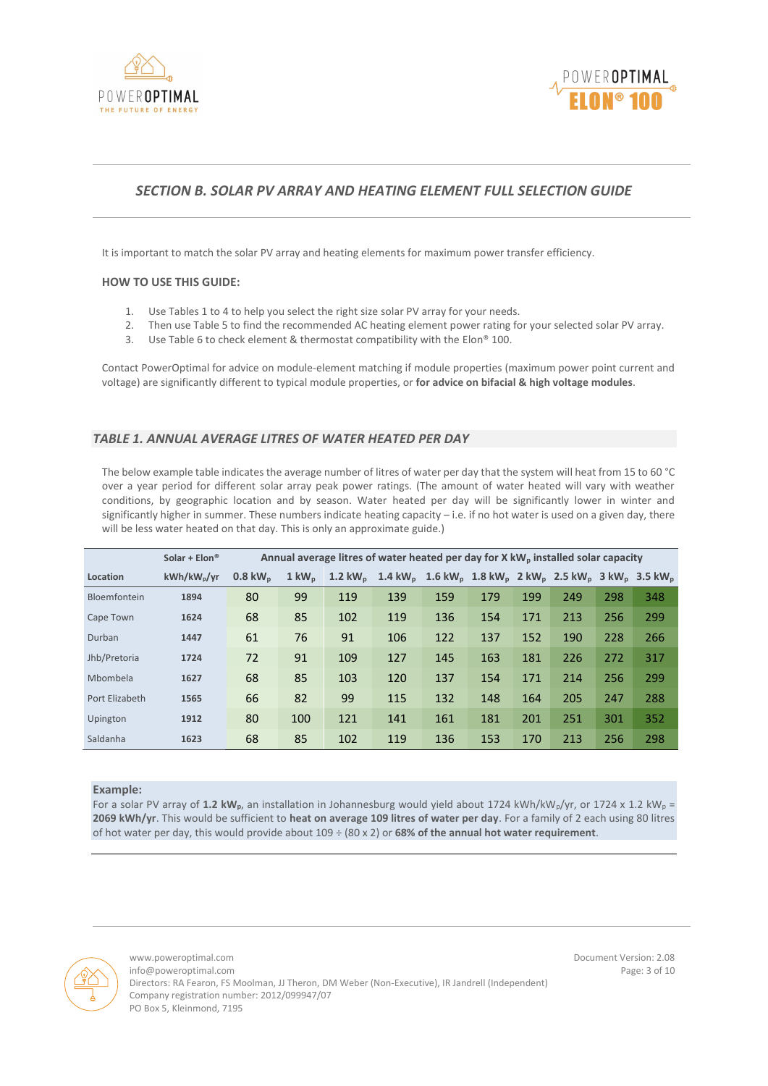



## *SECTION B. SOLAR PV ARRAY AND HEATING ELEMENT FULL SELECTION GUIDE*

It is important to match the solar PV array and heating elements for maximum power transfer efficiency.

#### **HOW TO USE THIS GUIDE:**

- 1. Use Tables 1 to 4 to help you select the right size solar PV array for your needs.
- 2. Then use Table 5 to find the recommended AC heating element power rating for your selected solar PV array.
- 3. Use Table 6 to check element & thermostat compatibility with the Elon® 100.

Contact PowerOptimal for advice on module-element matching if module properties (maximum power point current and voltage) are significantly different to typical module properties, or **for advice on bifacial & high voltage modules**.

### *TABLE 1. ANNUAL AVERAGE LITRES OF WATER HEATED PER DAY*

The below example table indicates the average number of litres of water per day that the system will heat from 15 to 60 °C over a year period for different solar array peak power ratings. (The amount of water heated will vary with weather conditions, by geographic location and by season. Water heated per day will be significantly lower in winter and significantly higher in summer. These numbers indicate heating capacity - i.e. if no hot water is used on a given day, there will be less water heated on that day. This is only an approximate guide.)

|                | Solar + $Elon$ <sup>®</sup> |                       | Annual average litres of water heated per day for X $kW_p$ installed solar capacity |                     |                                                                                                                                         |     |     |     |     |     |     |
|----------------|-----------------------------|-----------------------|-------------------------------------------------------------------------------------|---------------------|-----------------------------------------------------------------------------------------------------------------------------------------|-----|-----|-----|-----|-----|-----|
| Location       | kWh/kW <sub>p</sub> /yr     | $0.8$ kW <sub>n</sub> | $1 \text{ kW}_{p}$                                                                  | 1.2 kW <sub>p</sub> | 1.4 kW <sub>p</sub> 1.6 kW <sub>p</sub> 1.8 kW <sub>p</sub> 2 kW <sub>p</sub> 2.5 kW <sub>p</sub> 3 kW <sub>p</sub> 3.5 kW <sub>p</sub> |     |     |     |     |     |     |
| Bloemfontein   | 1894                        | 80                    | 99                                                                                  | 119                 | 139                                                                                                                                     | 159 | 179 | 199 | 249 | 298 | 348 |
| Cape Town      | 1624                        | 68                    | 85                                                                                  | 102                 | 119                                                                                                                                     | 136 | 154 | 171 | 213 | 256 | 299 |
| Durban         | 1447                        | 61                    | 76                                                                                  | 91                  | 106                                                                                                                                     | 122 | 137 | 152 | 190 | 228 | 266 |
| Jhb/Pretoria   | 1724                        | 72                    | 91                                                                                  | 109                 | 127                                                                                                                                     | 145 | 163 | 181 | 226 | 272 | 317 |
| Mbombela       | 1627                        | 68                    | 85                                                                                  | 103                 | 120                                                                                                                                     | 137 | 154 | 171 | 214 | 256 | 299 |
| Port Elizabeth | 1565                        | 66                    | 82                                                                                  | 99                  | 115                                                                                                                                     | 132 | 148 | 164 | 205 | 247 | 288 |
| Upington       | 1912                        | 80                    | 100                                                                                 | 121                 | 141                                                                                                                                     | 161 | 181 | 201 | 251 | 301 | 352 |
| Saldanha       | 1623                        | 68                    | 85                                                                                  | 102                 | 119                                                                                                                                     | 136 | 153 | 170 | 213 | 256 | 298 |

#### **Example:**

For a solar PV array of 1.2 kW<sub>p</sub>, an installation in Johannesburg would yield about 1724 kWh/kW<sub>p</sub>/yr, or 1724 x 1.2 kW<sub>p</sub> = **2069 kWh/yr**. This would be sufficient to **heat on average 109 litres of water per day**. For a family of 2 each using 80 litres of hot water per day, this would provide about 109 ÷ (80 x 2) or **68% of the annual hot water requirement**.



www.poweroptimal.com **Document Version: 2.08** info@poweroptimal.com **Page: 3 of 10** Directors: RA Fearon, FS Moolman, JJ Theron, DM Weber (Non-Executive), IR Jandrell (Independent) Company registration number: 2012/099947/07 PO Box 5, Kleinmond, 7195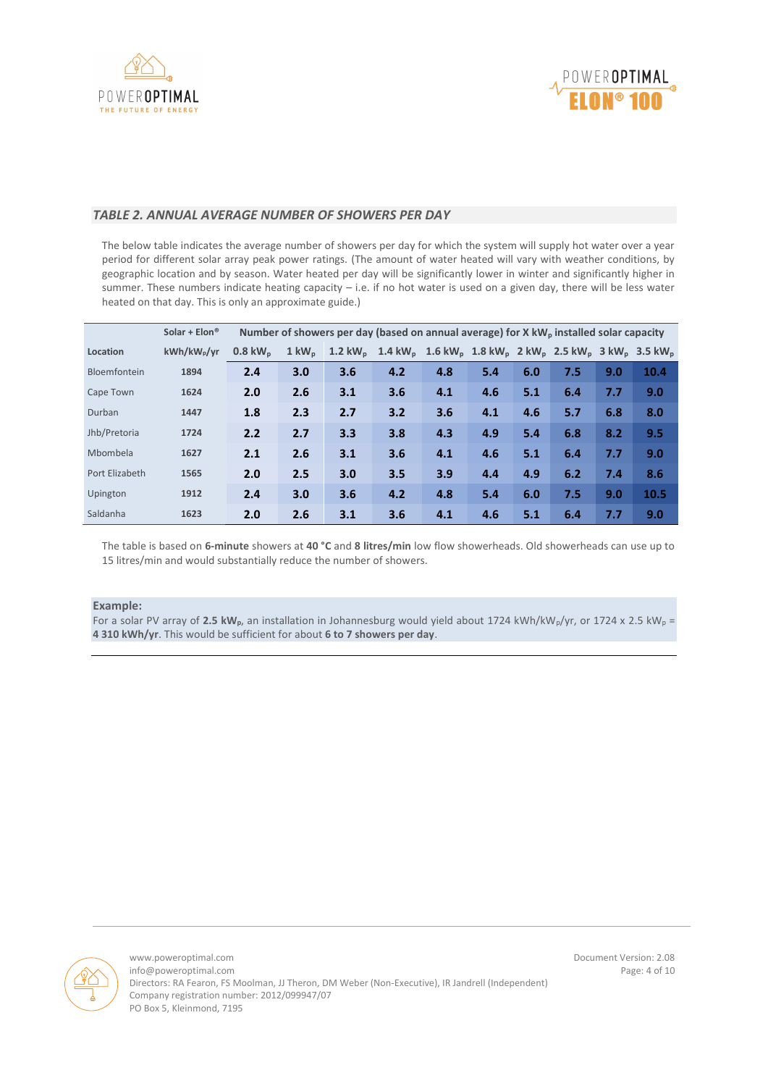



### *TABLE 2. ANNUAL AVERAGE NUMBER OF SHOWERS PER DAY*

The below table indicates the average number of showers per day for which the system will supply hot water over a year period for different solar array peak power ratings. (The amount of water heated will vary with weather conditions, by geographic location and by season. Water heated per day will be significantly lower in winter and significantly higher in summer. These numbers indicate heating capacity – i.e. if no hot water is used on a given day, there will be less water heated on that day. This is only an approximate guide.)

|                | Solar + $Elon$ <sup>®</sup> |                      |                    | Number of showers per day (based on annual average) for X kW <sub>p</sub> installed solar capacity |                                                                                                                                         |     |     |     |     |     |      |
|----------------|-----------------------------|----------------------|--------------------|----------------------------------------------------------------------------------------------------|-----------------------------------------------------------------------------------------------------------------------------------------|-----|-----|-----|-----|-----|------|
| Location       | kWh/kW <sub>p</sub> /yr     | $0.8 \text{ kW}_{p}$ | $1 \text{ kW}_{p}$ | 1.2 kW $_{\rm o}$                                                                                  | 1.4 kW <sub>p</sub> 1.6 kW <sub>p</sub> 1.8 kW <sub>p</sub> 2 kW <sub>p</sub> 2.5 kW <sub>p</sub> 3 kW <sub>p</sub> 3.5 kW <sub>p</sub> |     |     |     |     |     |      |
| Bloemfontein   | 1894                        | 2.4                  | 3.0                | 3.6                                                                                                | 4.2                                                                                                                                     | 4.8 | 5.4 | 6.0 | 7.5 | 9.0 | 10.4 |
| Cape Town      | 1624                        | 2.0                  | 2.6                | 3.1                                                                                                | 3.6                                                                                                                                     | 4.1 | 4.6 | 5.1 | 6.4 | 7.7 | 9.0  |
| Durban         | 1447                        | 1.8                  | 2.3                | 2.7                                                                                                | 3.2                                                                                                                                     | 3.6 | 4.1 | 4.6 | 5.7 | 6.8 | 8.0  |
| Jhb/Pretoria   | 1724                        | 2.2                  | 2.7                | 3.3                                                                                                | 3.8                                                                                                                                     | 4.3 | 4.9 | 5.4 | 6.8 | 8.2 | 9.5  |
| Mbombela       | 1627                        | 2.1                  | 2.6                | 3.1                                                                                                | 3.6                                                                                                                                     | 4.1 | 4.6 | 5.1 | 6.4 | 7.7 | 9.0  |
| Port Elizabeth | 1565                        | 2.0                  | 2.5                | 3.0                                                                                                | 3.5                                                                                                                                     | 3.9 | 4.4 | 4.9 | 6.2 | 7.4 | 8.6  |
| Upington       | 1912                        | 2.4                  | 3.0                | 3.6                                                                                                | 4.2                                                                                                                                     | 4.8 | 5.4 | 6.0 | 7.5 | 9.0 | 10.5 |
| Saldanha       | 1623                        | 2.0                  | 2.6                | 3.1                                                                                                | 3.6                                                                                                                                     | 4.1 | 4.6 | 5.1 | 6.4 | 7.7 | 9.0  |

The table is based on **6-minute** showers at **40 °C** and **8 litres/min** low flow showerheads. Old showerheads can use up to 15 litres/min and would substantially reduce the number of showers.

#### **Example:**

For a solar PV array of 2.5 kW<sub>p</sub>, an installation in Johannesburg would yield about 1724 kWh/kW<sub>p</sub>/yr, or 1724 x 2.5 kW<sub>p</sub> = **4 310 kWh/yr**. This would be sufficient for about **6 to 7 showers per day**.



www.poweroptimal.com by the community of the community of the community of the community of the community of the community of the community of the community of the community of the community of the community of the communi  $info@power optimal.com$ Directors: RA Fearon, FS Moolman, JJ Theron, DM Weber (Non-Executive), IR Jandrell (Independent) Company registration number: 2012/099947/07 PO Box 5, Kleinmond, 7195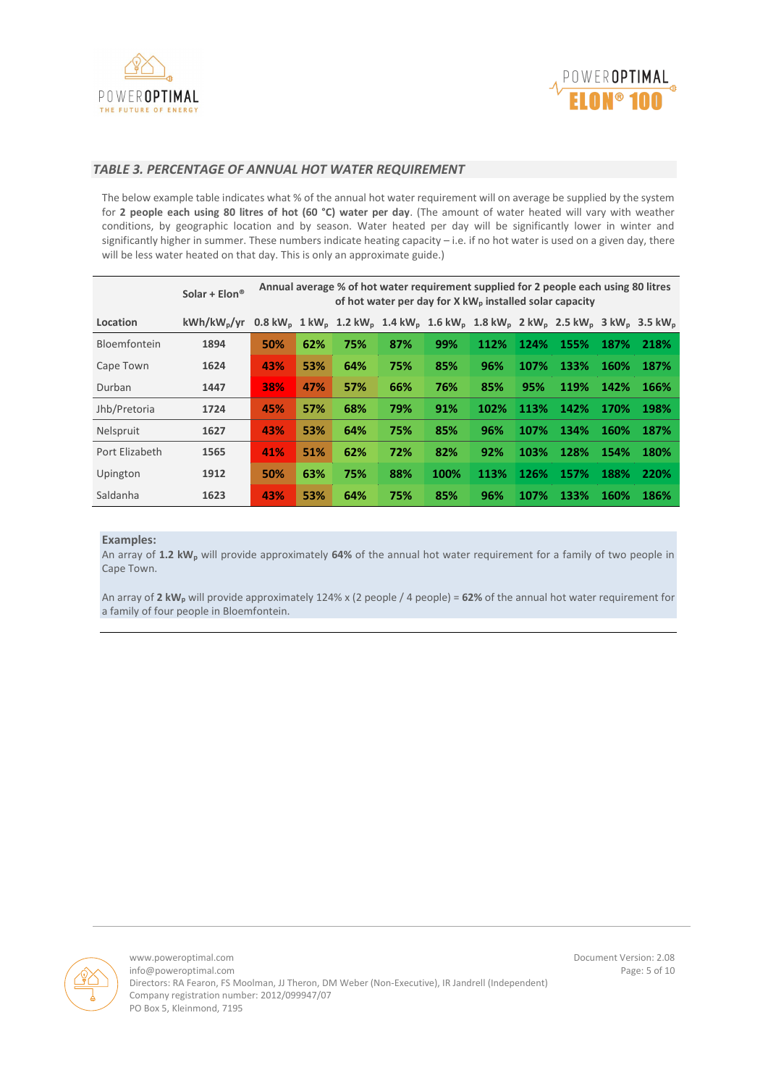



### *TABLE 3. PERCENTAGE OF ANNUAL HOT WATER REQUIREMENT*

The below example table indicates what % of the annual hot water requirement will on average be supplied by the system for **2 people each using 80 litres of hot (60 °C) water per day**. (The amount of water heated will vary with weather conditions, by geographic location and by season. Water heated per day will be significantly lower in winter and significantly higher in summer. These numbers indicate heating capacity – i.e. if no hot water is used on a given day, there will be less water heated on that day. This is only an approximate guide.)

|                | Solar + $Elon$ <sup>®</sup> |     | Annual average % of hot water requirement supplied for 2 people each using 80 litres<br>of hot water per day for X kW <sub>p</sub> installed solar capacity |     |     |                                                                                                                                                                                                           |      |      |      |             |             |
|----------------|-----------------------------|-----|-------------------------------------------------------------------------------------------------------------------------------------------------------------|-----|-----|-----------------------------------------------------------------------------------------------------------------------------------------------------------------------------------------------------------|------|------|------|-------------|-------------|
| Location       | kWh/kW <sub>n</sub> /vr     |     |                                                                                                                                                             |     |     | $0.8 \text{ kW}_{\text{o}}$ 1 kW <sub>p</sub> 1.2 kW <sub>p</sub> 1.4 kW <sub>p</sub> 1.6 kW <sub>p</sub> 1.8 kW <sub>p</sub> 2 kW <sub>p</sub> 2.5 kW <sub>p</sub> 3 kW <sub>p</sub> 3.5 kW <sub>p</sub> |      |      |      |             |             |
| Bloemfontein   | 1894                        | 50% | 62%                                                                                                                                                         | 75% | 87% | 99%                                                                                                                                                                                                       | 112% | 124% | 155% | 187%        | 218%        |
| Cape Town      | 1624                        | 43% | 53%                                                                                                                                                         | 64% | 75% | 85%                                                                                                                                                                                                       | 96%  | 107% | 133% | <b>160%</b> | 187%        |
| Durban         | 1447                        | 38% | 47%                                                                                                                                                         | 57% | 66% | 76%                                                                                                                                                                                                       | 85%  | 95%  | 119% | 142%        | 166%        |
| Jhb/Pretoria   | 1724                        | 45% | 57%                                                                                                                                                         | 68% | 79% | 91%                                                                                                                                                                                                       | 102% | 113% | 142% | 170%        | 198%        |
| Nelspruit      | 1627                        | 43% | 53%                                                                                                                                                         | 64% | 75% | 85%                                                                                                                                                                                                       | 96%  | 107% | 134% | 160%        | 187%        |
| Port Elizabeth | 1565                        | 41% | 51%                                                                                                                                                         | 62% | 72% | 82%                                                                                                                                                                                                       | 92%  | 103% | 128% | 154%        | <b>180%</b> |
| Upington       | 1912                        | 50% | 63%                                                                                                                                                         | 75% | 88% | 100%                                                                                                                                                                                                      | 113% | 126% | 157% | 188%        | 220%        |
| Saldanha       | 1623                        | 43% | 53%                                                                                                                                                         | 64% | 75% | 85%                                                                                                                                                                                                       | 96%  | 107% | 133% | <b>160%</b> | 186%        |

### **Examples:**

An array of **1.2 kW<sup>p</sup>** will provide approximately **64%** of the annual hot water requirement for a family of two people in Cape Town.

An array of **2 kW<sup>p</sup>** will provide approximately 124% x (2 people / 4 people) = **62%** of the annual hot water requirement for a family of four people in Bloemfontein.



www.poweroptimal.com by the community of the community of the community of the community of the community of the community of the community of the community of the community of the community of the community of the communi  $info@power optimal.com$ Directors: RA Fearon, FS Moolman, JJ Theron, DM Weber (Non-Executive), IR Jandrell (Independent) Company registration number: 2012/099947/07 PO Box 5, Kleinmond, 7195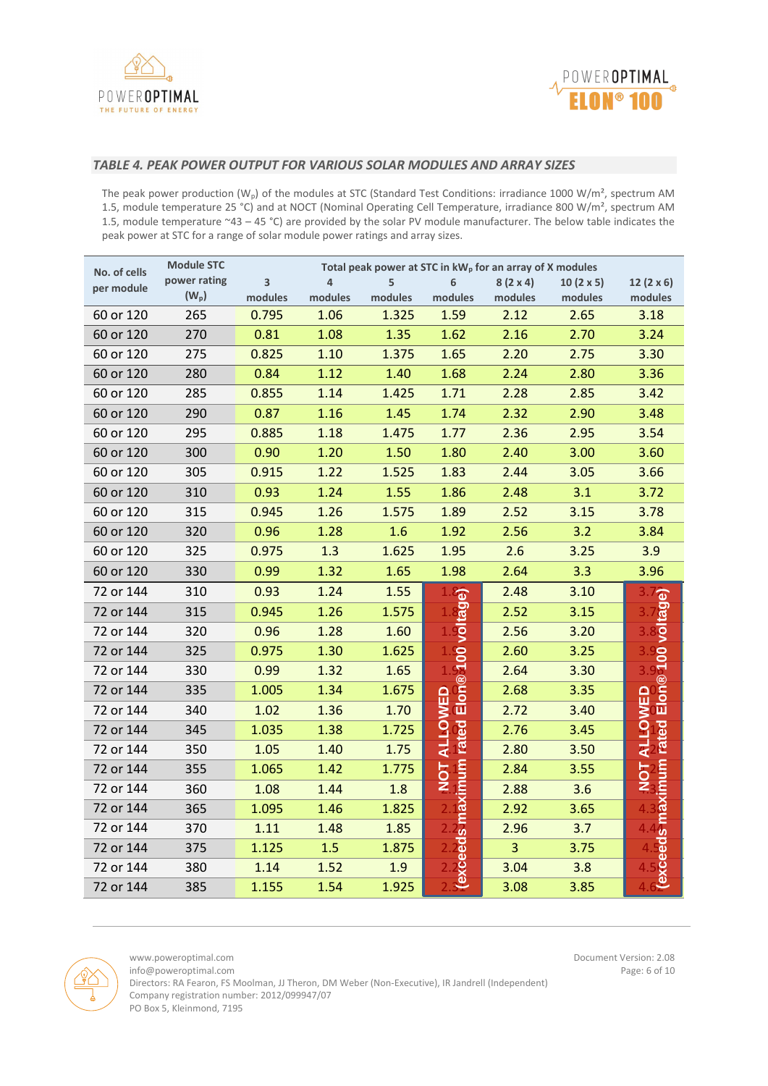



## *TABLE 4. PEAK POWER OUTPUT FOR VARIOUS SOLAR MODULES AND ARRAY SIZES*

The peak power production ( $W_p$ ) of the modules at STC (Standard Test Conditions: irradiance 1000 W/m<sup>2</sup>, spectrum AM 1.5, module temperature 25 °C) and at NOCT (Nominal Operating Cell Temperature, irradiance 800 W/m², spectrum AM 1.5, module temperature ~43 – 45 °C) are provided by the solar PV module manufacturer. The below table indicates the peak power at STC for a range of solar module power ratings and array sizes.

| No. of cells | <b>Module STC</b> |         | Total peak power at STC in kW <sub>p</sub> for an array of X modules |         |                    |                 |                  |                         |  |
|--------------|-------------------|---------|----------------------------------------------------------------------|---------|--------------------|-----------------|------------------|-------------------------|--|
| per module   | power rating      | 3       | $\overline{a}$                                                       | 5       | 6                  | $8(2 \times 4)$ | $10(2 \times 5)$ | 12 $(2 \times 6)$       |  |
|              | $(W_p)$           | modules | modules                                                              | modules | modules            | modules         | modules          | modules                 |  |
| 60 or 120    | 265               | 0.795   | 1.06                                                                 | 1.325   | 1.59               | 2.12            | 2.65             | 3.18                    |  |
| 60 or 120    | 270               | 0.81    | 1.08                                                                 | 1.35    | 1.62               | 2.16            | 2.70             | 3.24                    |  |
| 60 or 120    | 275               | 0.825   | 1.10                                                                 | 1.375   | 1.65               | 2.20            | 2.75             | 3.30                    |  |
| 60 or 120    | 280               | 0.84    | 1.12                                                                 | 1.40    | 1.68               | 2.24            | 2.80             | 3.36                    |  |
| 60 or 120    | 285               | 0.855   | 1.14                                                                 | 1.425   | 1.71               | 2.28            | 2.85             | 3.42                    |  |
| 60 or 120    | 290               | 0.87    | 1.16                                                                 | 1.45    | 1.74               | 2.32            | 2.90             | 3.48                    |  |
| 60 or 120    | 295               | 0.885   | 1.18                                                                 | 1.475   | 1.77               | 2.36            | 2.95             | 3.54                    |  |
| 60 or 120    | 300               | 0.90    | 1.20                                                                 | 1.50    | 1.80               | 2.40            | 3.00             | 3.60                    |  |
| 60 or 120    | 305               | 0.915   | 1.22                                                                 | 1.525   | 1.83               | 2.44            | 3.05             | 3.66                    |  |
| 60 or 120    | 310               | 0.93    | 1.24                                                                 | 1.55    | 1.86               | 2.48            | 3.1              | 3.72                    |  |
| 60 or 120    | 315               | 0.945   | 1.26                                                                 | 1.575   | 1.89               | 2.52            | 3.15             | 3.78                    |  |
| 60 or 120    | 320               | 0.96    | 1.28                                                                 | 1.6     | 1.92               | 2.56            | 3.2              | 3.84                    |  |
| 60 or 120    | 325               | 0.975   | 1.3                                                                  | 1.625   | 1.95               | 2.6             | 3.25             | 3.9                     |  |
| 60 or 120    | 330               | 0.99    | 1.32                                                                 | 1.65    | 1.98               | 2.64            | 3.3              | 3.96                    |  |
| 72 or 144    | 310               | 0.93    | 1.24                                                                 | 1.55    |                    | 2.48            | 3.10             | $\overline{\mathbf{c}}$ |  |
| 72 or 144    | 315               | 0.945   | 1.26                                                                 | 1.575   |                    | 2.52            | 3.15             |                         |  |
| 72 or 144    | 320               | 0.96    | 1.28                                                                 | 1.60    |                    | 2.56            | 3.20             |                         |  |
| 72 or 144    | 325               | 0.975   | 1.30                                                                 | 1.625   |                    | 2.60            | 3.25             | <b>100 voltag</b>       |  |
| 72 or 144    | 330               | 0.99    | 1.32                                                                 | 1.65    | Elon® 100 voltage) | 2.64            | 3.30             |                         |  |
| 72 or 144    | 335               | 1.005   | 1.34                                                                 | 1.675   |                    | 2.68            | 3.35             | Elon®                   |  |
| 72 or 144    | 340               | 1.02    | 1.36                                                                 | 1.70    | <b>ALLOWED</b>     | 2.72            | 3.40             | ALLOWED                 |  |
| 72 or 144    | 345               | 1.035   | 1.38                                                                 | 1.725   |                    | 2.76            | 3.45             |                         |  |
| 72 or 144    | 350               | 1.05    | 1.40                                                                 | 1.75    |                    | 2.80            | 3.50             |                         |  |
| 72 or 144    | 355               | 1.065   | 1.42                                                                 | 1.775   | <b>NOT</b>         | 2.84            | 3.55             | 5<br>NOZ                |  |
| 72 or 144    | 360               | 1.08    | 1.44                                                                 | 1.8     |                    | 2.88            | 3.6              |                         |  |
| 72 or 144    | 365               | 1.095   | 1.46                                                                 | 1.825   |                    | 2.92            | 3.65             |                         |  |
| 72 or 144    | 370               | $1.11$  | 1.48                                                                 | 1.85    | s maximum rated    | 2.96            | 3.7              | s maximum rated         |  |
| 72 or 144    | 375               | 1.125   | 1.5                                                                  | 1.875   |                    | $\overline{3}$  | 3.75             | ಠ                       |  |
| 72 or 144    | 380               | 1.14    | 1.52                                                                 | 1.9     | xceed              | 3.04            | 3.8              | <b>Jexce</b>            |  |
| 72 or 144    | 385               | 1.155   | 1.54                                                                 | 1.925   | ڡ                  | 3.08            | 3.85             |                         |  |

 $info@power optimal.com$ 

www.poweroptimal.com Document Version: 2.08<br>Info@poweroptimal.com Document Version: 2.08<br>Page: 6 of 10

Directors: RA Fearon, FS Moolman, JJ Theron, DM Weber (Non-Executive), IR Jandrell (Independent) Company registration number: 2012/099947/07 PO Box 5, Kleinmond, 7195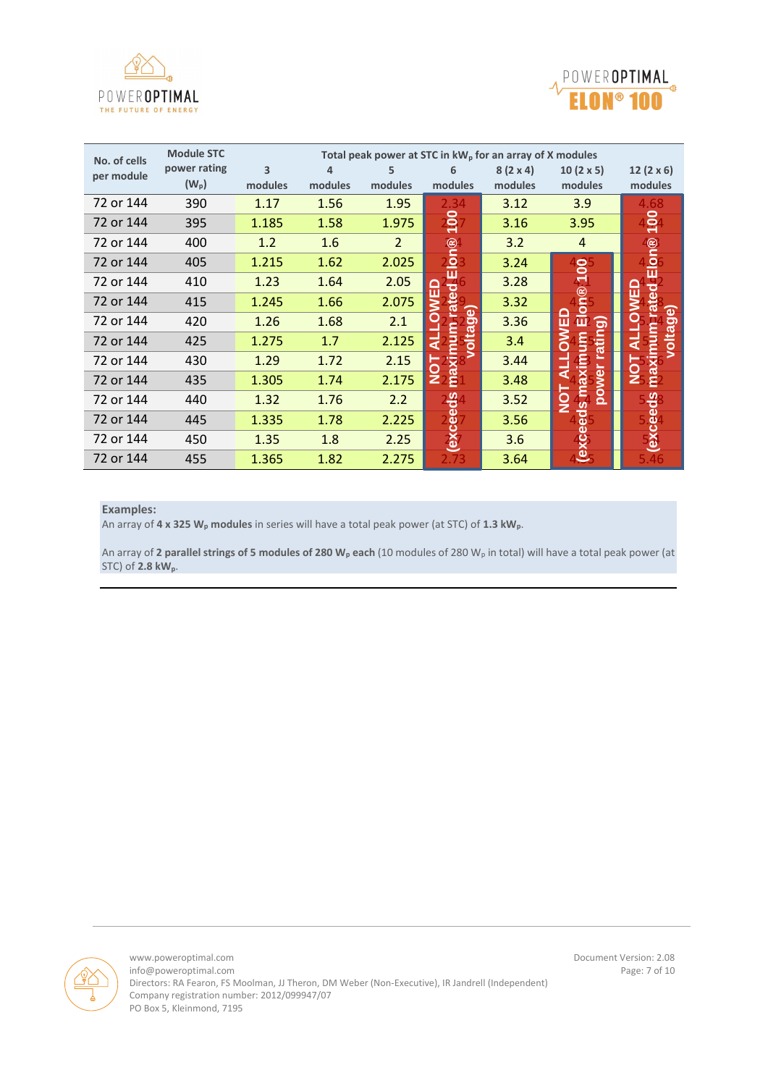



| No. of cells | <b>Module STC</b> |         |         |                |               | Total peak power at STC in kW <sub>p</sub> for an array of X modules |                  |                   |
|--------------|-------------------|---------|---------|----------------|---------------|----------------------------------------------------------------------|------------------|-------------------|
| per module   | power rating      | 3       | 4       | 5              | 6             | $8(2 \times 4)$                                                      | $10(2 \times 5)$ | 12 $(2 \times 6)$ |
|              | $(W_p)$           | modules | modules | modules        | modules       | modules                                                              | modules          | modules           |
| 72 or 144    | 390               | 1.17    | 1.56    | 1.95           | 2.34          | 3.12                                                                 | 3.9              | 4.68              |
| 72 or 144    | 395               | 1.185   | 1.58    | 1.975          | $\frac{5}{1}$ | 3.16                                                                 | 3.95             | $\frac{1}{2}$     |
| 72 or 144    | 400               | 1.2     | 1.6     | $\overline{2}$ |               | 3.2                                                                  | 4                | $^\circledR$      |
| 72 or 144    | 405               | 1.215   | 1.62    | 2.025          | lon®          | 3.24                                                                 | 8                | $\overline{O}$    |
| 72 or 144    | 410               | 1.23    | 1.64    | 2.05           |               | 3.28                                                                 |                  |                   |
| 72 or 144    | 415               | 1.245   | 1.66    | 2.075          | ഉ<br>w        | 3.32                                                                 | $\mathbf{Q}$     |                   |
| 72 or 144    | 420               | 1.26    | 1.68    | 2.1            | မ္တ<br>ω      | 3.36                                                                 | 靣<br>ш<br>ත      | မြိ               |
| 72 or 144    | 425               | 1.275   | 1.7     | 2.125          | ä             | 3.4                                                                  | mn<br>atin       |                   |
| 72 or 144    | 430               | 1.29    | 1.72    | 2.15           |               | 3.44                                                                 | axim             |                   |
| 72 or 144    | 435               | 1.305   | 1.74    | 2.175          | Z.<br>Ë.      | 3.48                                                                 | oowe             |                   |
| 72 or 144    | 440               | 1.32    | 1.76    | 2.2            |               | 3.52                                                                 | eds m            |                   |
| 72 or 144    | 445               | 1.335   | 1.78    | 2.225          | excee         | 3.56                                                                 |                  | ω<br>Ō            |
| 72 or 144    | 450               | 1.35    | 1.8     | 2.25           |               | 3.6                                                                  | <b>JXe</b>       |                   |
| 72 or 144    | 455               | 1.365   | 1.82    | 2.275          |               | 3.64                                                                 |                  |                   |

#### **Examples:**

An array of **4 x 325 W<sup>p</sup> modules** in series will have a total peak power (at STC) of **1.3 kWp**.

An array of **2 parallel strings of 5 modules of 280 W<sup>p</sup> each** (10 modules of 280 W<sup>p</sup> in total) will have a total peak power (at STC) of **2.8 kWp**.

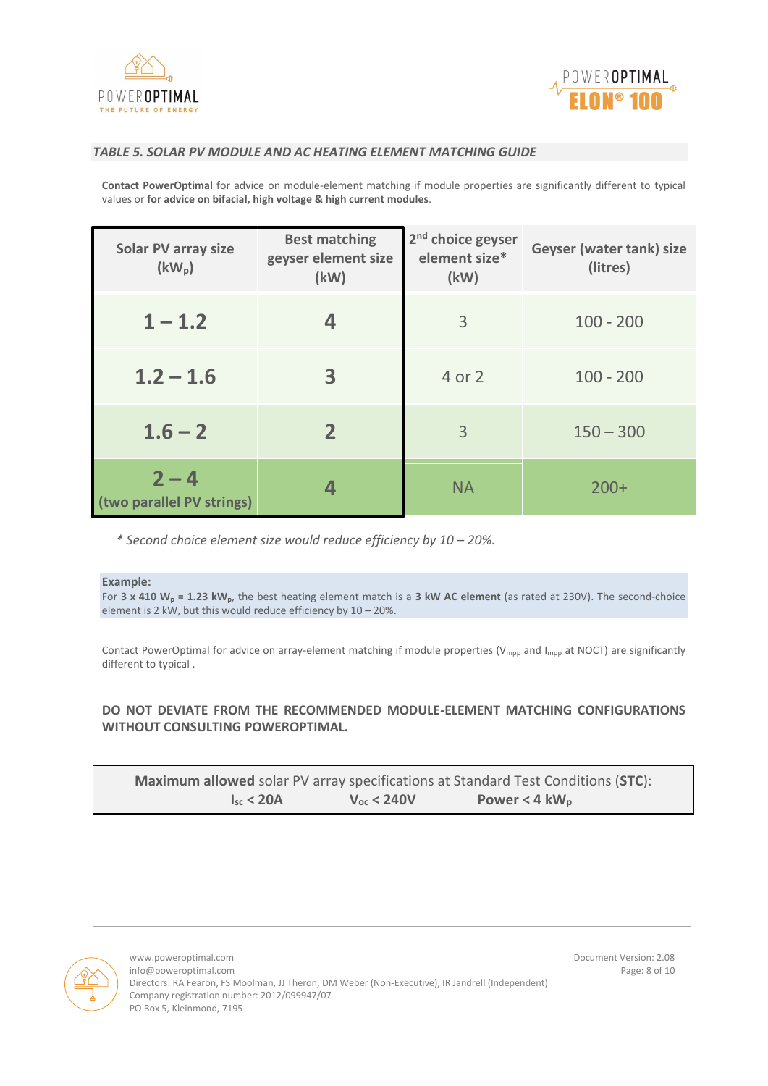



### *TABLE 5. SOLAR PV MODULE AND AC HEATING ELEMENT MATCHING GUIDE*

**Contact PowerOptimal** for advice on module-element matching if module properties are significantly different to typical values or **for advice on bifacial, high voltage & high current modules**.

| <b>Solar PV array size</b><br>$(kW_p)$ | <b>Best matching</b><br>geyser element size<br>(kW) | 2 <sup>nd</sup> choice geyser<br>element size*<br>(kW) | Geyser (water tank) size<br>(litres) |
|----------------------------------------|-----------------------------------------------------|--------------------------------------------------------|--------------------------------------|
| $1 - 1.2$                              |                                                     | 3                                                      | $100 - 200$                          |
| $1.2 - 1.6$                            | 3                                                   | 4 or 2                                                 | $100 - 200$                          |
| $1.6 - 2$                              | $\mathbf{2}$                                        | 3                                                      | $150 - 300$                          |
| $2 - 4$<br>(two parallel PV strings)   |                                                     | <b>NA</b>                                              | $200+$                               |

*\* Second choice element size would reduce efficiency by 10 – 20%.*

#### **Example:**

For **3 x 410 W<sup>p</sup> = 1.23 kWp**, the best heating element match is a **3 kW AC element** (as rated at 230V). The second-choice element is 2 kW, but this would reduce efficiency by 10 – 20%.

Contact PowerOptimal for advice on array-element matching if module properties ( $V_{mpp}$  and  $I_{mpp}$  at NOCT) are significantly different to typical .

## **DO NOT DEVIATE FROM THE RECOMMENDED MODULE-ELEMENT MATCHING CONFIGURATIONS WITHOUT CONSULTING POWEROPTIMAL.**

|                |                     | <b>Maximum allowed</b> solar PV array specifications at Standard Test Conditions (STC): |  |
|----------------|---------------------|-----------------------------------------------------------------------------------------|--|
| $I_{sr}$ < 20A | $V_{\rm oc}$ < 240V | Power < 4 $kW_p$                                                                        |  |

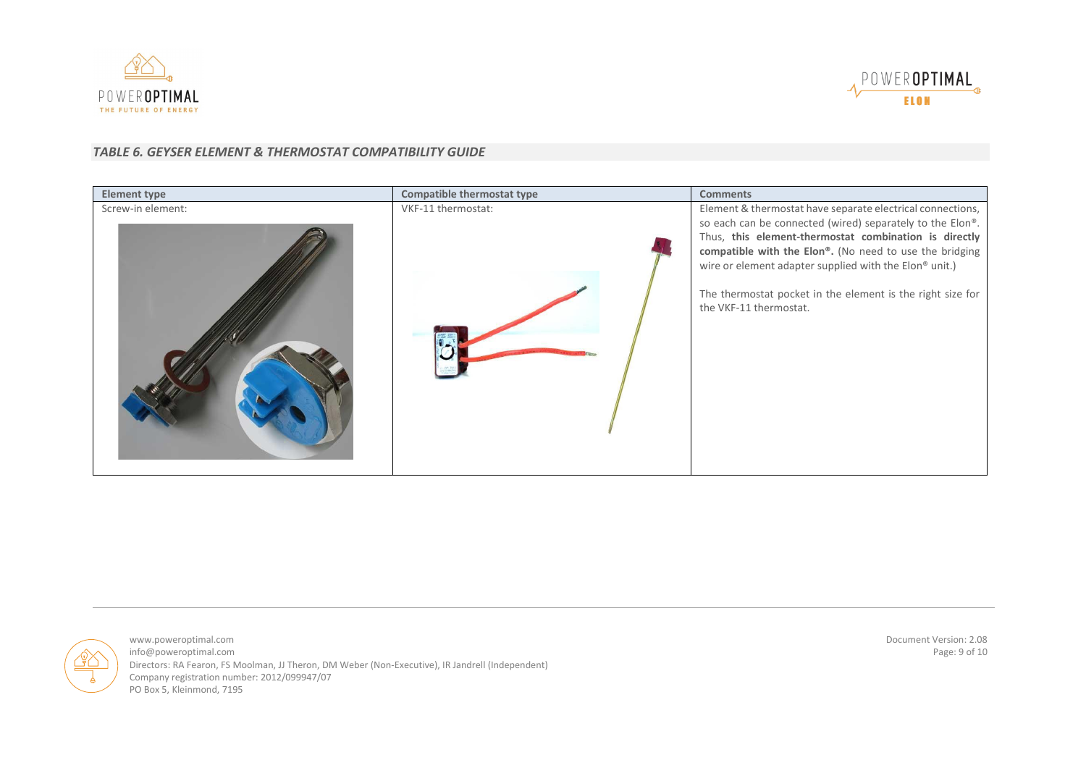



## *TABLE 6. GEYSER ELEMENT & THERMOSTAT COMPATIBILITY GUIDE*

| <b>Element type</b> | Compatible thermostat type | <b>Comments</b>                                                                                                                                                                                                                                                                                                                 |
|---------------------|----------------------------|---------------------------------------------------------------------------------------------------------------------------------------------------------------------------------------------------------------------------------------------------------------------------------------------------------------------------------|
| Screw-in element:   | VKF-11 thermostat:         | Element & thermostat have separate electrical connections,                                                                                                                                                                                                                                                                      |
|                     |                            | so each can be connected (wired) separately to the Elon®.<br>Thus, this element-thermostat combination is directly<br>compatible with the Elon®. (No need to use the bridging<br>wire or element adapter supplied with the Elon® unit.)<br>The thermostat pocket in the element is the right size for<br>the VKF-11 thermostat. |



www.poweroptimal.com Document Version: 2.08<br>Info@poweroptimal.com Page: 9 of 10 info@poweroptimal.com Directors: RA Fearon, FS Moolman, JJ Theron, DM Weber (Non-Executive), IR Jandrell (Independent) Company registration number: 2012/099947/07 PO Box 5, Kleinmond, 7195